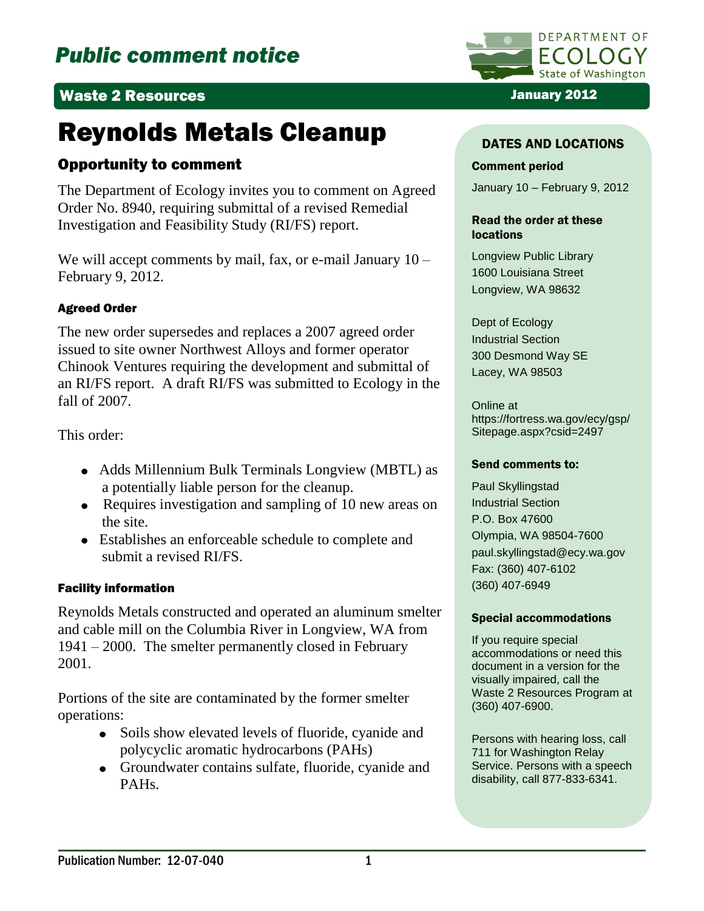# Waste 2 Resources January 2012

# Reynolds Metals Cleanup

# Opportunity to comment

The Department of Ecology invites you to comment on Agreed Order No. 8940, requiring submittal of a revised Remedial Investigation and Feasibility Study (RI/FS) report.

We will accept comments by mail, fax, or e-mail January 10 – February 9, 2012.

## Agreed Order

The new order supersedes and replaces a 2007 agreed order issued to site owner Northwest Alloys and former operator Chinook Ventures requiring the development and submittal of an RI/FS report. A draft RI/FS was submitted to Ecology in the fall of 2007.

This order:

- Adds Millennium Bulk Terminals Longview (MBTL) as a potentially liable person for the cleanup.
- Requires investigation and sampling of 10 new areas on the site.
- Establishes an enforceable schedule to complete and submit a revised RI/FS.

## Facility information

Reynolds Metals constructed and operated an aluminum smelter and cable mill on the Columbia River in Longview, WA from 1941 – 2000. The smelter permanently closed in February 2001.

Portions of the site are contaminated by the former smelter operations:

- Soils show elevated levels of fluoride, cyanide and polycyclic aromatic hydrocarbons (PAHs)
- Groundwater contains sulfate, fluoride, cyanide and PAHs.



### DATES AND LOCATIONS

#### Comment period

January 10 – February 9, 2012

#### Read the order at these locations

Longview Public Library 1600 Louisiana Street Longview, WA 98632

Dept of Ecology Industrial Section 300 Desmond Way SE Lacey, WA 98503

Online at https://fortress.wa.gov/ecy/gsp/ Sitepage.aspx?csid=2497

#### Send comments to:

Paul Skyllingstad Industrial Section P.O. Box 47600 Olympia, WA 98504-7600 paul.skyllingstad@ecy.wa.gov Fax: (360) 407-6102 (360) 407-6949

#### Special accommodations

If you require special accommodations or need this document in a version for the visually impaired, call the Waste 2 Resources Program at (360) 407-6900.

Persons with hearing loss, call 711 for Washington Relay Service. Persons with a speech disability, call 877-833-6341.